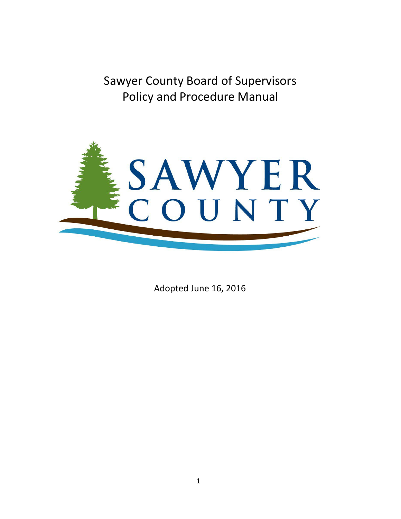Sawyer County Board of Supervisors Policy and Procedure Manual



Adopted June 16, 2016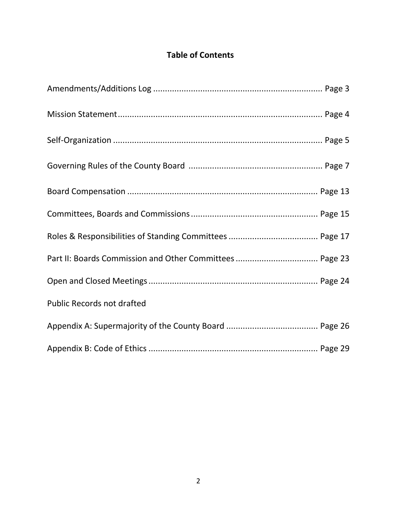## **Table of Contents**

| <b>Public Records not drafted</b> |  |
|-----------------------------------|--|
|                                   |  |
|                                   |  |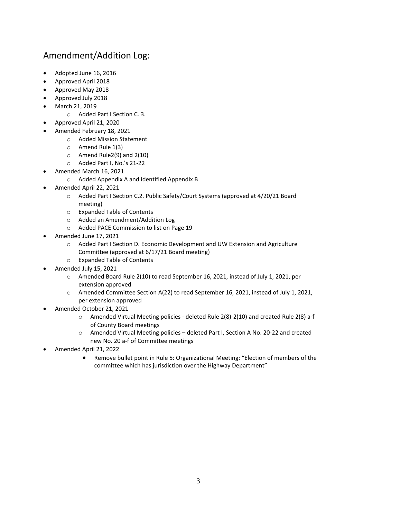## Amendment/Addition Log:

- Adopted June 16, 2016
- Approved April 2018
- Approved May 2018
- Approved July 2018
- March 21, 2019
	- o Added Part I Section C. 3.
- Approved April 21, 2020
- Amended February 18, 2021
	- o Added Mission Statement
	- o Amend Rule 1(3)
	- o Amend Rule2(9) and 2(10)
	- o Added Part I, No.'s 21-22
- Amended March 16, 2021
	- o Added Appendix A and identified Appendix B
- Amended April 22, 2021
	- o Added Part I Section C.2. Public Safety/Court Systems (approved at 4/20/21 Board meeting)
	- o Expanded Table of Contents
	- o Added an Amendment/Addition Log
	- o Added PACE Commission to list on Page 19
- Amended June 17, 2021
	- o Added Part I Section D. Economic Development and UW Extension and Agriculture Committee (approved at 6/17/21 Board meeting)
	- o Expanded Table of Contents
- Amended July 15, 2021
	- o Amended Board Rule 2(10) to read September 16, 2021, instead of July 1, 2021, per extension approved
	- o Amended Committee Section A(22) to read September 16, 2021, instead of July 1, 2021, per extension approved
- Amended October 21, 2021
	- o Amended Virtual Meeting policies deleted Rule 2(8)-2(10) and created Rule 2(8) a-f of County Board meetings
	- o Amended Virtual Meeting policies deleted Part I, Section A No. 20-22 and created new No. 20 a-f of Committee meetings
- Amended April 21, 2022
	- Remove bullet point in Rule 5: Organizational Meeting: "Election of members of the committee which has jurisdiction over the Highway Department"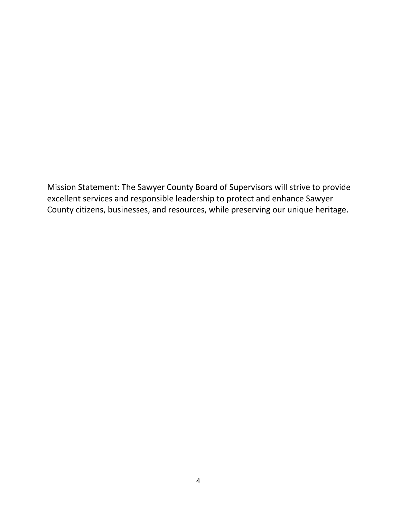Mission Statement: The Sawyer County Board of Supervisors will strive to provide excellent services and responsible leadership to protect and enhance Sawyer County citizens, businesses, and resources, while preserving our unique heritage.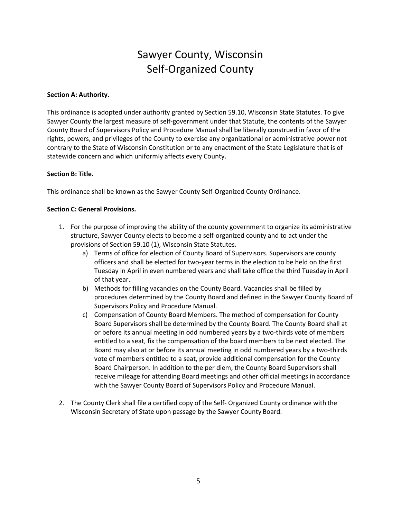## Sawyer County, Wisconsin Self-Organized County

#### **Section A: Authority.**

This ordinance is adopted under authority granted by Section 59.10, Wisconsin State Statutes. To give Sawyer County the largest measure of self-government under that Statute, the contents of the Sawyer County Board of Supervisors Policy and Procedure Manual shall be liberally construed in favor of the rights, powers, and privileges of the County to exercise any organizational or administrative power not contrary to the State of Wisconsin Constitution or to any enactment of the State Legislature that is of statewide concern and which uniformly affects every County.

#### **Section B: Title.**

This ordinance shall be known as the Sawyer County Self-Organized County Ordinance.

#### **Section C: General Provisions.**

- 1. For the purpose of improving the ability of the county government to organize its administrative structure, Sawyer County elects to become a self-organized county and to act under the provisions of Section 59.10 (1), Wisconsin State Statutes.
	- a) Terms of office for election of County Board of Supervisors. Supervisors are county officers and shall be elected for two-year terms in the election to be held on the first Tuesday in April in even numbered years and shall take office the third Tuesday in April of that year.
	- b) Methods for filling vacancies on the County Board. Vacancies shall be filled by procedures determined by the County Board and defined in the Sawyer County Board of Supervisors Policy and Procedure Manual.
	- c) Compensation of County Board Members. The method of compensation for County Board Supervisors shall be determined by the County Board. The County Board shall at or before its annual meeting in odd numbered years by a two-thirds vote of members entitled to a seat, fix the compensation of the board members to be next elected. The Board may also at or before its annual meeting in odd numbered years by a two-thirds vote of members entitled to a seat, provide additional compensation for the County Board Chairperson. In addition to the per diem, the County Board Supervisors shall receive mileage for attending Board meetings and other official meetings in accordance with the Sawyer County Board of Supervisors Policy and Procedure Manual.
- 2. The County Clerk shall file a certified copy of the Self- Organized County ordinance with the Wisconsin Secretary of State upon passage by the Sawyer County Board.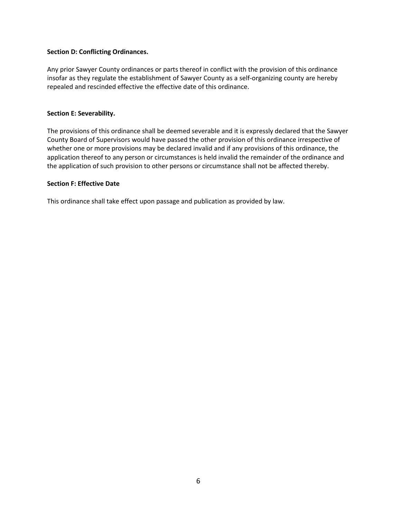### **Section D: Conflicting Ordinances.**

Any prior Sawyer County ordinances or parts thereof in conflict with the provision of this ordinance insofar as they regulate the establishment of Sawyer County as a self-organizing county are hereby repealed and rescinded effective the effective date of this ordinance.

#### **Section E: Severability.**

The provisions of this ordinance shall be deemed severable and it is expressly declared that the Sawyer County Board of Supervisors would have passed the other provision of this ordinance irrespective of whether one or more provisions may be declared invalid and if any provisions of this ordinance, the application thereof to any person or circumstances is held invalid the remainder of the ordinance and the application of such provision to other persons or circumstance shall not be affected thereby.

#### **Section F: Effective Date**

This ordinance shall take effect upon passage and publication as provided by law.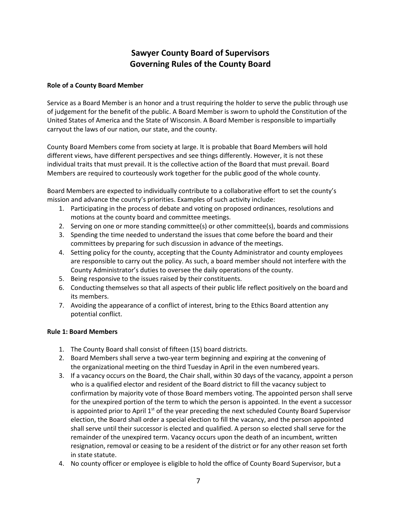## **Sawyer County Board of Supervisors Governing Rules of the County Board**

## **Role of a County Board Member**

Service as a Board Member is an honor and a trust requiring the holder to serve the public through use of judgement for the benefit of the public. A Board Member is sworn to uphold the Constitution of the United States of America and the State of Wisconsin. A Board Member is responsible to impartially carryout the laws of our nation, our state, and the county.

County Board Members come from society at large. It is probable that Board Members will hold different views, have different perspectives and see things differently. However, it is not these individual traits that must prevail. It is the collective action of the Board that must prevail. Board Members are required to courteously work together for the public good of the whole county.

Board Members are expected to individually contribute to a collaborative effort to set the county's mission and advance the county's priorities. Examples of such activity include:

- 1. Participating in the process of debate and voting on proposed ordinances, resolutions and motions at the county board and committee meetings.
- 2. Serving on one or more standing committee(s) or other committee(s), boards and commissions
- 3. Spending the time needed to understand the issues that come before the board and their committees by preparing for such discussion in advance of the meetings.
- 4. Setting policy for the county, accepting that the County Administrator and county employees are responsible to carry out the policy. As such, a board member should not interfere with the County Administrator's duties to oversee the daily operations of the county.
- 5. Being responsive to the issues raised by their constituents.
- 6. Conducting themselves so that all aspects of their public life reflect positively on the board and its members.
- 7. Avoiding the appearance of a conflict of interest, bring to the Ethics Board attention any potential conflict.

## **Rule 1: Board Members**

- 1. The County Board shall consist of fifteen (15) board districts.
- 2. Board Members shall serve a two-year term beginning and expiring at the convening of the organizational meeting on the third Tuesday in April in the even numbered years.
- 3. If a vacancy occurs on the Board, the Chair shall, within 30 days of the vacancy, appoint a person who is a qualified elector and resident of the Board district to fill the vacancy subject to confirmation by majority vote of those Board members voting. The appointed person shall serve for the unexpired portion of the term to which the person is appointed. In the event a successor is appointed prior to April  $1<sup>st</sup>$  of the year preceding the next scheduled County Board Supervisor election, the Board shall order a special election to fill the vacancy, and the person appointed shall serve until their successor is elected and qualified. A person so elected shall serve for the remainder of the unexpired term. Vacancy occurs upon the death of an incumbent, written resignation, removal or ceasing to be a resident of the district or for any other reason set forth in state statute.
- 4. No county officer or employee is eligible to hold the office of County Board Supervisor, but a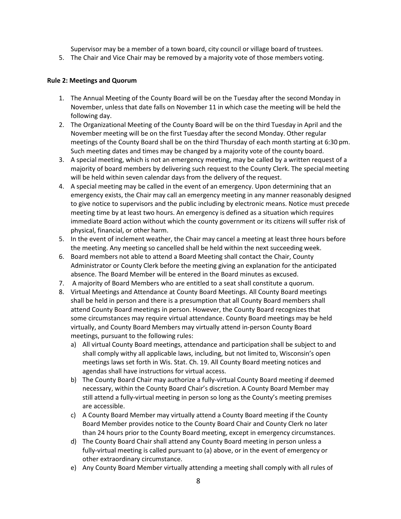Supervisor may be a member of a town board, city council or village board of trustees.

5. The Chair and Vice Chair may be removed by a majority vote of those members voting.

## **Rule 2: Meetings and Quorum**

- 1. The Annual Meeting of the County Board will be on the Tuesday after the second Monday in November, unless that date falls on November 11 in which case the meeting will be held the following day.
- 2. The Organizational Meeting of the County Board will be on the third Tuesday in April and the November meeting will be on the first Tuesday after the second Monday. Other regular meetings of the County Board shall be on the third Thursday of each month starting at 6:30 pm. Such meeting dates and times may be changed by a majority vote of the county board.
- 3. A special meeting, which is not an emergency meeting, may be called by a written request of a majority of board members by delivering such request to the County Clerk. The special meeting will be held within seven calendar days from the delivery of the request.
- 4. A special meeting may be called in the event of an emergency. Upon determining that an emergency exists, the Chair may call an emergency meeting in any manner reasonably designed to give notice to supervisors and the public including by electronic means. Notice must precede meeting time by at least two hours. An emergency is defined as a situation which requires immediate Board action without which the county government or its citizens will suffer risk of physical, financial, or other harm.
- 5. In the event of inclement weather, the Chair may cancel a meeting at least three hours before the meeting. Any meeting so cancelled shall be held within the next succeeding week.
- 6. Board members not able to attend a Board Meeting shall contact the Chair, County Administrator or County Clerk before the meeting giving an explanation for the anticipated absence. The Board Member will be entered in the Board minutes as excused.
- 7. A majority of Board Members who are entitled to a seat shall constitute a quorum.
- 8. Virtual Meetings and Attendance at County Board Meetings. All County Board meetings shall be held in person and there is a presumption that all County Board members shall attend County Board meetings in person. However, the County Board recognizes that some circumstances may require virtual attendance. County Board meetings may be held virtually, and County Board Members may virtually attend in-person County Board meetings, pursuant to the following rules:
	- a) All virtual County Board meetings, attendance and participation shall be subject to and shall comply withy all applicable laws, including, but not limited to, Wisconsin's open meetings laws set forth in Wis. Stat. Ch. 19. All County Board meeting notices and agendas shall have instructions for virtual access.
	- b) The County Board Chair may authorize a fully-virtual County Board meeting if deemed necessary, within the County Board Chair's discretion. A County Board Member may still attend a fully-virtual meeting in person so long as the County's meeting premises are accessible.
	- c) A County Board Member may virtually attend a County Board meeting if the County Board Member provides notice to the County Board Chair and County Clerk no later than 24 hours prior to the County Board meeting, except in emergency circumstances.
	- d) The County Board Chair shall attend any County Board meeting in person unless a fully-virtual meeting is called pursuant to (a) above, or in the event of emergency or other extraordinary circumstance.
	- e) Any County Board Member virtually attending a meeting shall comply with all rules of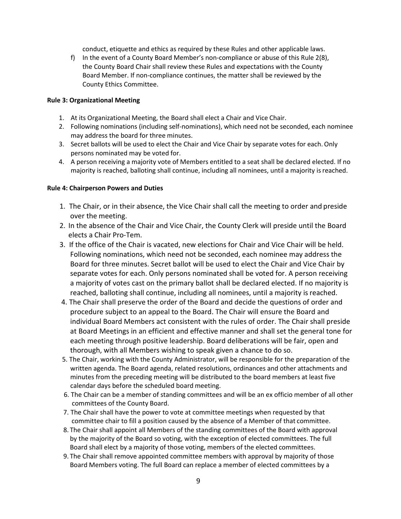conduct, etiquette and ethics as required by these Rules and other applicable laws.

f) In the event of a County Board Member's non-compliance or abuse of this Rule 2(8), the County Board Chair shall review these Rules and expectations with the County Board Member. If non-compliance continues, the matter shall be reviewed by the County Ethics Committee.

### **Rule 3: Organizational Meeting**

- 1. At its Organizational Meeting, the Board shall elect a Chair and Vice Chair.
- 2. Following nominations (including self-nominations), which need not be seconded, each nominee may address the board for three minutes.
- 3. Secret ballots will be used to elect the Chair and Vice Chair by separate votes for each.Only persons nominated may be voted for.
- 4. A person receiving a majority vote of Members entitled to a seat shall be declared elected. If no majority is reached, balloting shall continue, including all nominees, until a majority isreached.

#### **Rule 4: Chairperson Powers and Duties**

- 1. The Chair, or in their absence, the Vice Chair shall call the meeting to order and preside over the meeting.
- 2. In the absence of the Chair and Vice Chair, the County Clerk will preside until the Board elects a Chair Pro-Tem.
- 3. If the office of the Chair is vacated, new elections for Chair and Vice Chair will be held. Following nominations, which need not be seconded, each nominee may address the Board for three minutes. Secret ballot will be used to elect the Chair and Vice Chair by separate votes for each. Only persons nominated shall be voted for. A person receiving a majority of votes cast on the primary ballot shall be declared elected. If no majority is reached, balloting shall continue, including all nominees, until a majority is reached.
- 4. The Chair shall preserve the order of the Board and decide the questions of order and procedure subject to an appeal to the Board. The Chair will ensure the Board and individual Board Members act consistent with the rules of order. The Chair shall preside at Board Meetings in an efficient and effective manner and shall set the general tone for each meeting through positive leadership. Board deliberations will be fair, open and thorough, with all Members wishing to speak given a chance to do so.
- 5. The Chair, working with the County Administrator, will be responsible for the preparation of the written agenda. The Board agenda, related resolutions, ordinances and other attachments and minutes from the preceding meeting will be distributed to the board members at least five calendar days before the scheduled board meeting.
- 6. The Chair can be a member of standing committees and will be an ex officio member of all other committees of the County Board.
- 7. The Chair shall have the power to vote at committee meetings when requested by that committee chair to fill a position caused by the absence of a Member of that committee.
- 8. The Chair shall appoint all Members of the standing committees of the Board with approval by the majority of the Board so voting, with the exception of elected committees. The full Board shall elect by a majority of those voting, members of the elected committees.
- 9. The Chair shall remove appointed committee members with approval by majority of those Board Members voting. The full Board can replace a member of elected committees by a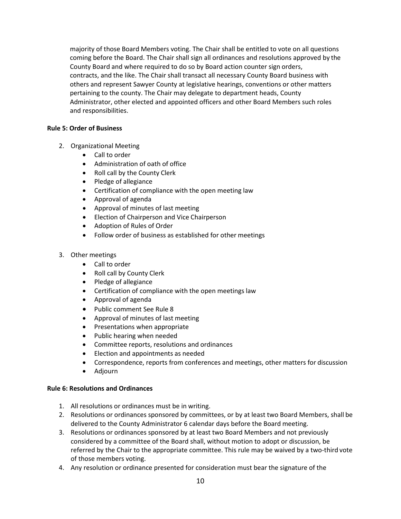majority of those Board Members voting. The Chair shall be entitled to vote on all questions coming before the Board. The Chair shall sign all ordinances and resolutions approved by the County Board and where required to do so by Board action counter sign orders, contracts, and the like. The Chair shall transact all necessary County Board business with others and represent Sawyer County at legislative hearings, conventions or other matters pertaining to the county. The Chair may delegate to department heads, County Administrator, other elected and appointed officers and other Board Members such roles and responsibilities.

## **Rule 5: Order of Business**

- 2. Organizational Meeting
	- Call to order
	- Administration of oath of office
	- Roll call by the County Clerk
	- Pledge of allegiance
	- Certification of compliance with the open meeting law
	- Approval of agenda
	- Approval of minutes of last meeting
	- Election of Chairperson and Vice Chairperson
	- Adoption of Rules of Order
	- Follow order of business as established for other meetings

## 3. Other meetings

- Call to order
- Roll call by County Clerk
- Pledge of allegiance
- Certification of compliance with the open meetings law
- Approval of agenda
- Public comment See Rule 8
- Approval of minutes of last meeting
- Presentations when appropriate
- Public hearing when needed
- Committee reports, resolutions and ordinances
- Election and appointments as needed
- Correspondence, reports from conferences and meetings, other matters for discussion
- Adjourn

## **Rule 6: Resolutions and Ordinances**

- 1. All resolutions or ordinances must be in writing.
- 2. Resolutions or ordinances sponsored by committees, or by at least two Board Members, shall be delivered to the County Administrator 6 calendar days before the Board meeting.
- 3. Resolutions or ordinances sponsored by at least two Board Members and not previously considered by a committee of the Board shall, without motion to adopt or discussion, be referred by the Chair to the appropriate committee. This rule may be waived by a two-third vote of those members voting.
- 4. Any resolution or ordinance presented for consideration must bear the signature of the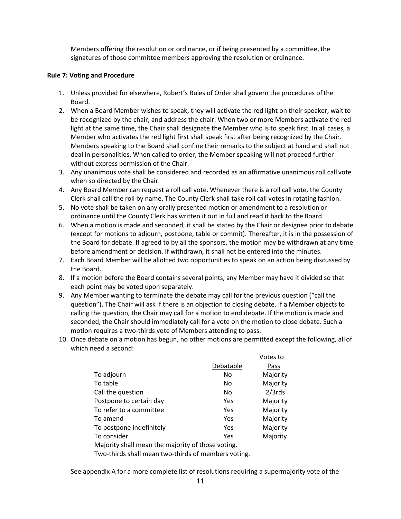Members offering the resolution or ordinance, or if being presented by a committee, the signatures of those committee members approving the resolution or ordinance.

#### **Rule 7: Voting and Procedure**

- 1. Unless provided for elsewhere, Robert's Rules of Order shall govern the procedures ofthe Board.
- 2. When a Board Member wishes to speak, they will activate the red light on their speaker, waitto be recognized by the chair, and address the chair. When two or more Members activate the red light at the same time, the Chair shall designate the Member who is to speak first. In all cases, a Member who activates the red light first shall speak first after being recognized by the Chair. Members speaking to the Board shall confine their remarks to the subject at hand and shall not deal in personalities. When called to order, the Member speaking will not proceed further without express permission of the Chair.
- 3. Any unanimous vote shall be considered and recorded as an affirmative unanimous roll call vote when so directed by the Chair.
- 4. Any Board Member can request a roll call vote. Whenever there is a roll call vote, the County Clerk shall call the roll by name. The County Clerk shall take roll call votes in rotating fashion.
- 5. No vote shall be taken on any orally presented motion or amendment to a resolution or ordinance until the County Clerk has written it out in full and read it back to the Board.
- 6. When a motion is made and seconded, it shall be stated by the Chair or designee prior to debate (except for motions to adjourn, postpone, table or commit). Thereafter, it is in the possession of the Board for debate. If agreed to by all the sponsors, the motion may be withdrawn at any time before amendment or decision. If withdrawn, it shall not be entered into the minutes.
- 7. Each Board Member will be allotted two opportunities to speak on an action being discussed by the Board.
- 8. If a motion before the Board contains several points, any Member may have it divided so that each point may be voted upon separately.
- 9. Any Member wanting to terminate the debate may call for the previous question ("call the question"). The Chair will ask if there is an objection to closing debate. If a Member objects to calling the question, the Chair may call for a motion to end debate. If the motion is made and seconded, the Chair should immediately call for a vote on the motion to close debate. Such a motion requires a two-thirds vote of Members attending to pass.
- 10. Once debate on a motion has begun, no other motions are permitted except the following, all of which need a second:

|                                                   |           | Votes to  |
|---------------------------------------------------|-----------|-----------|
|                                                   | Debatable | Pass      |
| To adjourn                                        | No        | Majority  |
| To table                                          | No        | Majority  |
| Call the question                                 | No        | $2/3$ rds |
| Postpone to certain day                           | Yes       | Majority  |
| To refer to a committee                           | Yes       | Majority  |
| To amend                                          | Yes       | Majority  |
| To postpone indefinitely                          | Yes       | Majority  |
| To consider                                       | Yes       | Majority  |
| Majority shall mean the majority of those voting. |           |           |
|                                                   |           |           |

Two-thirds shall mean two-thirds of members voting.

See appendix A for a more complete list of resolutions requiring a supermajority vote of the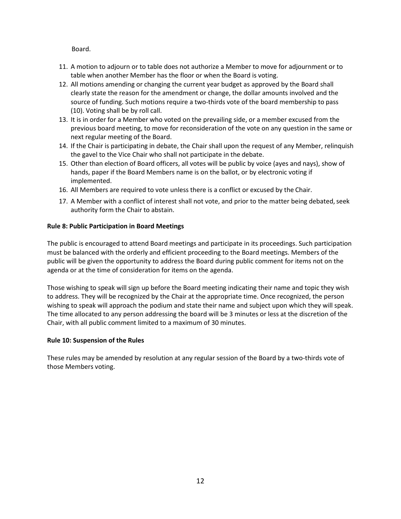Board.

- 11. A motion to adjourn or to table does not authorize a Member to move for adjournment or to table when another Member has the floor or when the Board is voting.
- 12. All motions amending or changing the current year budget as approved by the Board shall clearly state the reason for the amendment or change, the dollar amounts involved and the source of funding. Such motions require a two-thirds vote of the board membership to pass (10). Voting shall be by roll call.
- 13. It is in order for a Member who voted on the prevailing side, or a member excused from the previous board meeting, to move for reconsideration of the vote on any question in the same or next regular meeting of the Board.
- 14. If the Chair is participating in debate, the Chair shall upon the request of any Member, relinquish the gavel to the Vice Chair who shall not participate in the debate.
- 15. Other than election of Board officers, all votes will be public by voice (ayes and nays), show of hands, paper if the Board Members name is on the ballot, or by electronic voting if implemented.
- 16. All Members are required to vote unless there is a conflict or excused by the Chair.
- 17. A Member with a conflict of interest shall not vote, and prior to the matter being debated, seek authority form the Chair to abstain.

## **Rule 8: Public Participation in Board Meetings**

The public is encouraged to attend Board meetings and participate in its proceedings. Such participation must be balanced with the orderly and efficient proceeding to the Board meetings. Members of the public will be given the opportunity to address the Board during public comment for items not on the agenda or at the time of consideration for items on the agenda.

Those wishing to speak will sign up before the Board meeting indicating their name and topic they wish to address. They will be recognized by the Chair at the appropriate time. Once recognized, the person wishing to speak will approach the podium and state their name and subject upon which they will speak. The time allocated to any person addressing the board will be 3 minutes or less at the discretion of the Chair, with all public comment limited to a maximum of 30 minutes.

## **Rule 10: Suspension of the Rules**

These rules may be amended by resolution at any regular session of the Board by a two-thirds vote of those Members voting.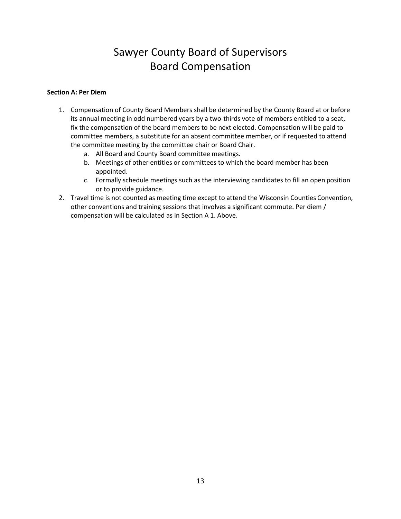## Sawyer County Board of Supervisors Board Compensation

### **Section A: Per Diem**

- 1. Compensation of County Board Members shall be determined by the County Board at or before its annual meeting in odd numbered years by a two-thirds vote of members entitled to a seat, fix the compensation of the board members to be next elected. Compensation will be paid to committee members, a substitute for an absent committee member, or if requested to attend the committee meeting by the committee chair or Board Chair.
	- a. All Board and County Board committee meetings.
	- b. Meetings of other entities or committees to which the board member has been appointed.
	- c. Formally schedule meetings such as the interviewing candidates to fill an open position or to provide guidance.
- 2. Travel time is not counted as meeting time except to attend the Wisconsin Counties Convention, other conventions and training sessions that involves a significant commute. Per diem / compensation will be calculated as in Section A 1. Above.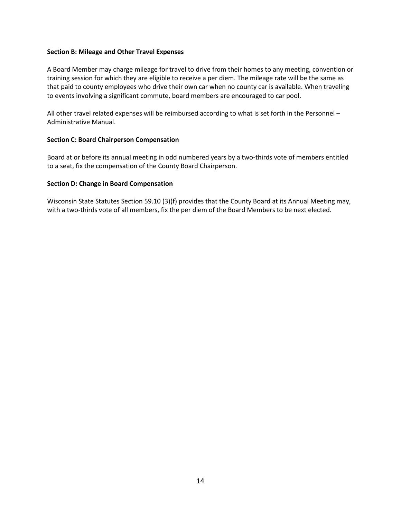#### **Section B: Mileage and Other Travel Expenses**

A Board Member may charge mileage for travel to drive from their homes to any meeting, convention or training session for which they are eligible to receive a per diem. The mileage rate will be the same as that paid to county employees who drive their own car when no county car is available. When traveling to events involving a significant commute, board members are encouraged to car pool.

All other travel related expenses will be reimbursed according to what is set forth in the Personnel – Administrative Manual.

## **Section C: Board Chairperson Compensation**

Board at or before its annual meeting in odd numbered years by a two-thirds vote of members entitled to a seat, fix the compensation of the County Board Chairperson.

#### **Section D: Change in Board Compensation**

Wisconsin State Statutes Section 59.10 (3)(f) provides that the County Board at its Annual Meeting may, with a two-thirds vote of all members, fix the per diem of the Board Members to be next elected.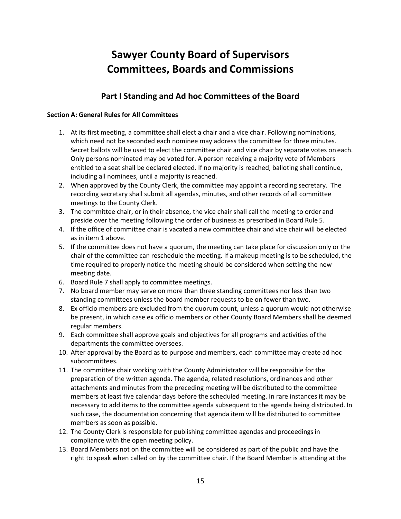## **Sawyer County Board of Supervisors Committees, Boards and Commissions**

## **Part I Standing and Ad hoc Committees of the Board**

## **Section A: General Rules for All Committees**

- 1. At its first meeting, a committee shall elect a chair and a vice chair. Following nominations, which need not be seconded each nominee may address the committee for three minutes. Secret ballots will be used to elect the committee chair and vice chair by separate votes on each. Only persons nominated may be voted for. A person receiving a majority vote of Members entitled to a seat shall be declared elected. If no majority is reached, balloting shall continue, including all nominees, until a majority is reached.
- 2. When approved by the County Clerk, the committee may appoint a recording secretary. The recording secretary shall submit all agendas, minutes, and other records of all committee meetings to the County Clerk.
- 3. The committee chair, or in their absence, the vice chair shall call the meeting to order and preside over the meeting following the order of business as prescribed in Board Rule 5.
- 4. If the office of committee chair is vacated a new committee chair and vice chair will be elected as in item 1 above.
- 5. If the committee does not have a quorum, the meeting can take place for discussion only or the chair of the committee can reschedule the meeting. If a makeup meeting is to be scheduled, the time required to properly notice the meeting should be considered when setting the new meeting date.
- 6. Board Rule 7 shall apply to committee meetings.
- 7. No board member may serve on more than three standing committees nor less than two standing committees unless the board member requests to be on fewer than two.
- 8. Ex officio members are excluded from the quorum count, unless a quorum would not otherwise be present, in which case ex officio members or other County Board Members shall be deemed regular members.
- 9. Each committee shall approve goals and objectives for all programs and activities ofthe departments the committee oversees.
- 10. After approval by the Board as to purpose and members, each committee may create ad hoc subcommittees.
- 11. The committee chair working with the County Administrator will be responsible for the preparation of the written agenda. The agenda, related resolutions, ordinances and other attachments and minutes from the preceding meeting will be distributed to the committee members at least five calendar days before the scheduled meeting. In rare instances it may be necessary to add items to the committee agenda subsequent to the agenda being distributed. In such case, the documentation concerning that agenda item will be distributed to committee members as soon as possible.
- 12. The County Clerk is responsible for publishing committee agendas and proceedingsin compliance with the open meeting policy.
- 13. Board Members not on the committee will be considered as part of the public and have the right to speak when called on by the committee chair. If the Board Member is attending at the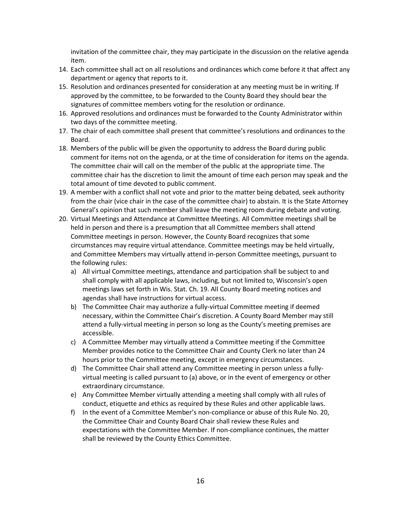invitation of the committee chair, they may participate in the discussion on the relative agenda item.

- 14. Each committee shall act on all resolutions and ordinances which come before it that affect any department or agency that reports to it.
- 15. Resolution and ordinances presented for consideration at any meeting must be in writing. If approved by the committee, to be forwarded to the County Board they should bear the signatures of committee members voting for the resolution or ordinance.
- 16. Approved resolutions and ordinances must be forwarded to the County Administrator within two days of the committee meeting.
- 17. The chair of each committee shall present that committee's resolutions and ordinances to the Board.
- 18. Members of the public will be given the opportunity to address the Board during public comment for items not on the agenda, or at the time of consideration for items on the agenda. The committee chair will call on the member of the public at the appropriate time. The committee chair has the discretion to limit the amount of time each person may speak and the total amount of time devoted to public comment.
- 19. A member with a conflict shall not vote and prior to the matter being debated, seek authority from the chair (vice chair in the case of the committee chair) to abstain. It is the State Attorney General's opinion that such member shall leave the meeting room during debate and voting.
- 20. Virtual Meetings and Attendance at Committee Meetings. All Committee meetings shall be held in person and there is a presumption that all Committee members shall attend Committee meetings in person. However, the County Board recognizes that some circumstances may require virtual attendance. Committee meetings may be held virtually, and Committee Members may virtually attend in-person Committee meetings, pursuant to the following rules:
	- a) All virtual Committee meetings, attendance and participation shall be subject to and shall comply with all applicable laws, including, but not limited to, Wisconsin's open meetings laws set forth in Wis. Stat. Ch. 19. All County Board meeting notices and agendas shall have instructions for virtual access.
	- b) The Committee Chair may authorize a fully-virtual Committee meeting if deemed necessary, within the Committee Chair's discretion. A County Board Member may still attend a fully-virtual meeting in person so long as the County's meeting premises are accessible.
	- c) A Committee Member may virtually attend a Committee meeting if the Committee Member provides notice to the Committee Chair and County Clerk no later than 24 hours prior to the Committee meeting, except in emergency circumstances.
	- d) The Committee Chair shall attend any Committee meeting in person unless a fullyvirtual meeting is called pursuant to (a) above, or in the event of emergency or other extraordinary circumstance.
	- e) Any Committee Member virtually attending a meeting shall comply with all rules of conduct, etiquette and ethics as required by these Rules and other applicable laws.
	- f) In the event of a Committee Member's non-compliance or abuse of this Rule No. 20, the Committee Chair and County Board Chair shall review these Rules and expectations with the Committee Member. If non-compliance continues, the matter shall be reviewed by the County Ethics Committee.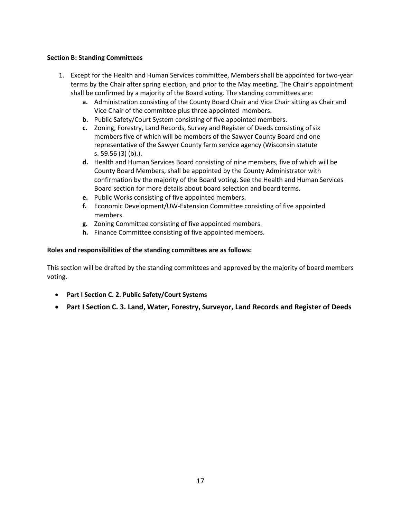## **Section B: Standing Committees**

- 1. Except for the Health and Human Services committee, Members shall be appointed for two-year terms by the Chair after spring election, and prior to the May meeting. The Chair's appointment shall be confirmed by a majority of the Board voting. The standing committees are:
	- **a.** Administration consisting of the County Board Chair and Vice Chair sitting as Chair and Vice Chair of the committee plus three appointed members.
	- **b.** Public Safety/Court System consisting of five appointed members.
	- **c.** Zoning, Forestry, Land Records, Survey and Register of Deeds consisting ofsix members five of which will be members of the Sawyer County Board and one representative of the Sawyer County farm service agency (Wisconsin statute s. 59.56 (3) (b).).
	- **d.** Health and Human Services Board consisting of nine members, five of which will be County Board Members, shall be appointed by the County Administrator with confirmation by the majority of the Board voting. See the Health and Human Services Board section for more details about board selection and board terms.
	- **e.** Public Works consisting of five appointed members.
	- **f.** Economic Development/UW-Extension Committee consisting of five appointed members.
	- **g.** Zoning Committee consisting of five appointed members.
	- **h.** Finance Committee consisting of five appointed members.

## **Roles and responsibilities of the standing committees are as follows:**

This section will be drafted by the standing committees and approved by the majority of board members voting.

- **Part I Section C. 2. Public Safety/Court Systems**
- **Part I Section C. 3. Land, Water, Forestry, Surveyor, Land Records and Register of Deeds**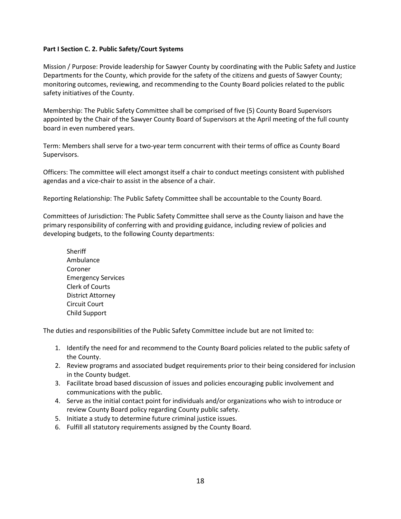## **Part I Section C. 2. Public Safety/Court Systems**

Mission / Purpose: Provide leadership for Sawyer County by coordinating with the Public Safety and Justice Departments for the County, which provide for the safety of the citizens and guests of Sawyer County; monitoring outcomes, reviewing, and recommending to the County Board policies related to the public safety initiatives of the County.

Membership: The Public Safety Committee shall be comprised of five (5) County Board Supervisors appointed by the Chair of the Sawyer County Board of Supervisors at the April meeting of the full county board in even numbered years.

Term: Members shall serve for a two-year term concurrent with their terms of office as County Board Supervisors.

Officers: The committee will elect amongst itself a chair to conduct meetings consistent with published agendas and a vice-chair to assist in the absence of a chair.

Reporting Relationship: The Public Safety Committee shall be accountable to the County Board.

Committees of Jurisdiction: The Public Safety Committee shall serve as the County liaison and have the primary responsibility of conferring with and providing guidance, including review of policies and developing budgets, to the following County departments:

**Sheriff** Ambulance Coroner Emergency Services Clerk of Courts District Attorney Circuit Court Child Support

The duties and responsibilities of the Public Safety Committee include but are not limited to:

- 1. Identify the need for and recommend to the County Board policies related to the public safety of the County.
- 2. Review programs and associated budget requirements prior to their being considered for inclusion in the County budget.
- 3. Facilitate broad based discussion of issues and policies encouraging public involvement and communications with the public.
- 4. Serve as the initial contact point for individuals and/or organizations who wish to introduce or review County Board policy regarding County public safety.
- 5. Initiate a study to determine future criminal justice issues.
- 6. Fulfill all statutory requirements assigned by the County Board.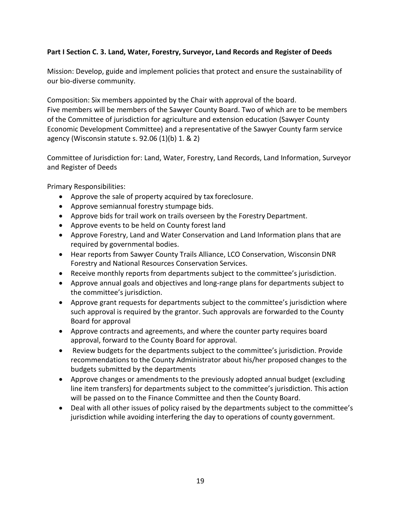## **Part I Section C. 3. Land, Water, Forestry, Surveyor, Land Records and Register of Deeds**

Mission: Develop, guide and implement policies that protect and ensure the sustainability of our bio-diverse community.

Composition: Six members appointed by the Chair with approval of the board. Five members will be members of the Sawyer County Board. Two of which are to be members of the Committee of jurisdiction for agriculture and extension education (Sawyer County Economic Development Committee) and a representative of the Sawyer County farm service agency (Wisconsin statute s. 92.06 (1)(b) 1. & 2)

Committee of Jurisdiction for: Land, Water, Forestry, Land Records, Land Information, Surveyor and Register of Deeds

Primary Responsibilities:

- Approve the sale of property acquired by tax foreclosure.
- Approve semiannual forestry stumpage bids.
- Approve bids for trail work on trails overseen by the Forestry Department.
- Approve events to be held on County forest land
- Approve Forestry, Land and Water Conservation and Land Information plans that are required by governmental bodies.
- Hear reports from Sawyer County Trails Alliance, LCO Conservation, Wisconsin DNR Forestry and National Resources Conservation Services.
- Receive monthly reports from departments subject to the committee's jurisdiction.
- Approve annual goals and objectives and long-range plans for departments subject to the committee's jurisdiction.
- Approve grant requests for departments subject to the committee's jurisdiction where such approval is required by the grantor. Such approvals are forwarded to the County Board for approval
- Approve contracts and agreements, and where the counter party requires board approval, forward to the County Board for approval.
- Review budgets for the departments subject to the committee's jurisdiction. Provide recommendations to the County Administrator about his/her proposed changes to the budgets submitted by the departments
- Approve changes or amendments to the previously adopted annual budget (excluding line item transfers) for departments subject to the committee's jurisdiction. This action will be passed on to the Finance Committee and then the County Board.
- Deal with all other issues of policy raised by the departments subject to the committee's jurisdiction while avoiding interfering the day to operations of county government.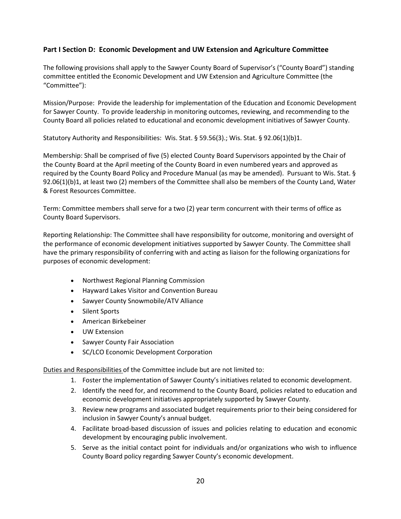## **Part I Section D: Economic Development and UW Extension and Agriculture Committee**

The following provisions shall apply to the Sawyer County Board of Supervisor's ("County Board") standing committee entitled the Economic Development and UW Extension and Agriculture Committee (the "Committee"):

Mission/Purpose: Provide the leadership for implementation of the Education and Economic Development for Sawyer County. To provide leadership in monitoring outcomes, reviewing, and recommending to the County Board all policies related to educational and economic development initiatives of Sawyer County.

Statutory Authority and Responsibilities: Wis. Stat. § 59.56(3).; Wis. Stat. § 92.06(1)(b)1.

Membership: Shall be comprised of five (5) elected County Board Supervisors appointed by the Chair of the County Board at the April meeting of the County Board in even numbered years and approved as required by the County Board Policy and Procedure Manual (as may be amended). Pursuant to Wis. Stat. § 92.06(1)(b)1, at least two (2) members of the Committee shall also be members of the County Land, Water & Forest Resources Committee.

Term: Committee members shall serve for a two (2) year term concurrent with their terms of office as County Board Supervisors.

Reporting Relationship: The Committee shall have responsibility for outcome, monitoring and oversight of the performance of economic development initiatives supported by Sawyer County. The Committee shall have the primary responsibility of conferring with and acting as liaison for the following organizations for purposes of economic development:

- Northwest Regional Planning Commission
- Hayward Lakes Visitor and Convention Bureau
- Sawyer County Snowmobile/ATV Alliance
- Silent Sports
- American Birkebeiner
- UW Extension
- Sawyer County Fair Association
- SC/LCO Economic Development Corporation

Duties and Responsibilities of the Committee include but are not limited to:

- 1. Foster the implementation of Sawyer County's initiatives related to economic development.
- 2. Identify the need for, and recommend to the County Board, policies related to education and economic development initiatives appropriately supported by Sawyer County.
- 3. Review new programs and associated budget requirements prior to their being considered for inclusion in Sawyer County's annual budget.
- 4. Facilitate broad-based discussion of issues and policies relating to education and economic development by encouraging public involvement.
- 5. Serve as the initial contact point for individuals and/or organizations who wish to influence County Board policy regarding Sawyer County's economic development.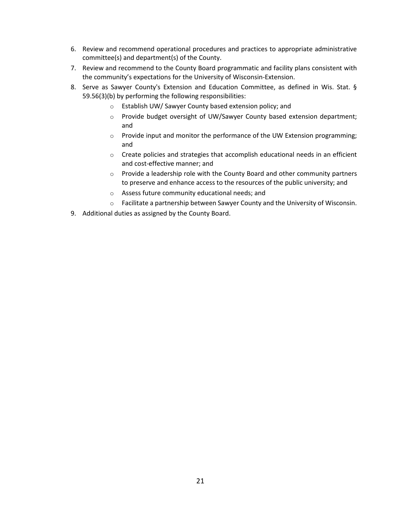- 6. Review and recommend operational procedures and practices to appropriate administrative committee(s) and department(s) of the County.
- 7. Review and recommend to the County Board programmatic and facility plans consistent with the community's expectations for the University of Wisconsin-Extension.
- 8. Serve as Sawyer County's Extension and Education Committee, as defined in Wis. Stat. § 59.56(3)(b) by performing the following responsibilities:
	- o Establish UW/ Sawyer County based extension policy; and
	- o Provide budget oversight of UW/Sawyer County based extension department; and
	- $\circ$  Provide input and monitor the performance of the UW Extension programming; and
	- o Create policies and strategies that accomplish educational needs in an efficient and cost-effective manner; and
	- $\circ$  Provide a leadership role with the County Board and other community partners to preserve and enhance access to the resources of the public university; and
	- o Assess future community educational needs; and
	- o Facilitate a partnership between Sawyer County and the University of Wisconsin.
- 9. Additional duties as assigned by the County Board.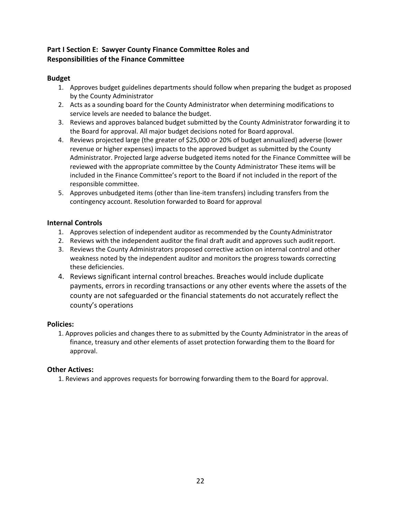## **Part I Section E: Sawyer County Finance Committee Roles and Responsibilities of the Finance Committee**

## **Budget**

- 1. Approves budget guidelines departments should follow when preparing the budget as proposed by the County Administrator
- 2. Acts as a sounding board for the County Administrator when determining modifications to service levels are needed to balance the budget.
- 3. Reviews and approves balanced budget submitted by the County Administrator forwarding it to the Board for approval. All major budget decisions noted for Board approval.
- 4. Reviews projected large (the greater of \$25,000 or 20% of budget annualized) adverse (lower revenue or higher expenses) impacts to the approved budget as submitted by the County Administrator. Projected large adverse budgeted items noted for the Finance Committee will be reviewed with the appropriate committee by the County Administrator These items will be included in the Finance Committee's report to the Board if not included in the report of the responsible committee.
- 5. Approves unbudgeted items (other than line-item transfers) including transfers from the contingency account. Resolution forwarded to Board for approval

## **Internal Controls**

- 1. Approves selection of independent auditor as recommended by the CountyAdministrator
- 2. Reviews with the independent auditor the final draft audit and approves such auditreport.
- 3. Reviews the County Administrators proposed corrective action on internal control and other weakness noted by the independent auditor and monitors the progress towards correcting these deficiencies.
- 4. Reviews significant internal control breaches. Breaches would include duplicate payments, errors in recording transactions or any other events where the assets of the county are not safeguarded or the financial statements do not accurately reflect the county's operations

## **Policies:**

1. Approves policies and changes there to as submitted by the County Administrator in the areas of finance, treasury and other elements of asset protection forwarding them to the Board for approval.

## **Other Actives:**

1. Reviews and approves requests for borrowing forwarding them to the Board for approval.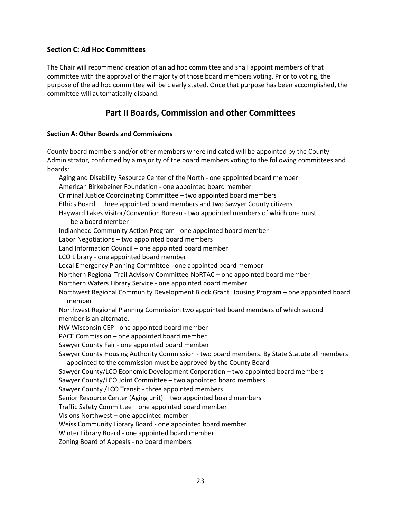## **Section C: Ad Hoc Committees**

The Chair will recommend creation of an ad hoc committee and shall appoint members of that committee with the approval of the majority of those board members voting. Prior to voting, the purpose of the ad hoc committee will be clearly stated. Once that purpose has been accomplished, the committee will automatically disband.

## **Part II Boards, Commission and other Committees**

## **Section A: Other Boards and Commissions**

County board members and/or other members where indicated will be appointed by the County Administrator, confirmed by a majority of the board members voting to the following committees and boards:

Aging and Disability Resource Center of the North - one appointed board member American Birkebeiner Foundation - one appointed board member Criminal Justice Coordinating Committee – two appointed board members Ethics Board – three appointed board members and two Sawyer County citizens Hayward Lakes Visitor/Convention Bureau - two appointed members of which one must be a board member Indianhead Community Action Program - one appointed board member Labor Negotiations – two appointed board members Land Information Council – one appointed board member LCO Library - one appointed board member Local Emergency Planning Committee - one appointed board member Northern Regional Trail Advisory Committee-NoRTAC – one appointed board member Northern Waters Library Service - one appointed board member Northwest Regional Community Development Block Grant Housing Program – one appointed board member Northwest Regional Planning Commission two appointed board members of which second member is an alternate. NW Wisconsin CEP - one appointed board member PACE Commission – one appointed board member Sawyer County Fair - one appointed board member Sawyer County Housing Authority Commission - two board members. By State Statute all members appointed to the commission must be approved by the County Board Sawyer County/LCO Economic Development Corporation – two appointed board members Sawyer County/LCO Joint Committee – two appointed board members Sawyer County /LCO Transit - three appointed members Senior Resource Center (Aging unit) – two appointed board members Traffic Safety Committee – one appointed board member Visions Northwest – one appointed member Weiss Community Library Board - one appointed board member Winter Library Board - one appointed board member Zoning Board of Appeals - no board members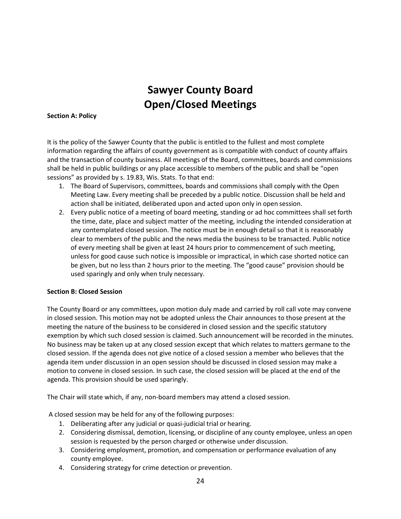## **Sawyer County Board Open/Closed Meetings**

### **Section A: Policy**

It is the policy of the Sawyer County that the public is entitled to the fullest and most complete information regarding the affairs of county government as is compatible with conduct of county affairs and the transaction of county business. All meetings of the Board, committees, boards and commissions shall be held in public buildings or any place accessible to members of the public and shall be "open sessions" as provided by s. 19.83, Wis. Stats. To that end:

- 1. The Board of Supervisors, committees, boards and commissions shall comply with the Open Meeting Law. Every meeting shall be preceded by a public notice. Discussion shall be held and action shall be initiated, deliberated upon and acted upon only in open session.
- 2. Every public notice of a meeting of board meeting, standing or ad hoc committees shall set forth the time, date, place and subject matter of the meeting, including the intended consideration at any contemplated closed session. The notice must be in enough detail so that it is reasonably clear to members of the public and the news media the business to be transacted. Public notice of every meeting shall be given at least 24 hours prior to commencement of such meeting, unless for good cause such notice is impossible or impractical, in which case shorted notice can be given, but no less than 2 hours prior to the meeting. The "good cause" provision should be used sparingly and only when truly necessary.

## **Section B: Closed Session**

The County Board or any committees, upon motion duly made and carried by roll call vote may convene in closed session. This motion may not be adopted unless the Chair announces to those present at the meeting the nature of the business to be considered in closed session and the specific statutory exemption by which such closed session is claimed. Such announcement will be recorded in the minutes. No business may be taken up at any closed session except that which relates to matters germane to the closed session. If the agenda does not give notice of a closed session a member who believes that the agenda item under discussion in an open session should be discussed in closed session may make a motion to convene in closed session. In such case, the closed session will be placed at the end of the agenda. This provision should be used sparingly.

The Chair will state which, if any, non-board members may attend a closed session.

A closed session may be held for any of the following purposes:

- 1. Deliberating after any judicial or quasi-judicial trial or hearing.
- 2. Considering dismissal, demotion, licensing, or discipline of any county employee, unless an open session is requested by the person charged or otherwise under discussion.
- 3. Considering employment, promotion, and compensation or performance evaluation of any county employee.
- 4. Considering strategy for crime detection or prevention.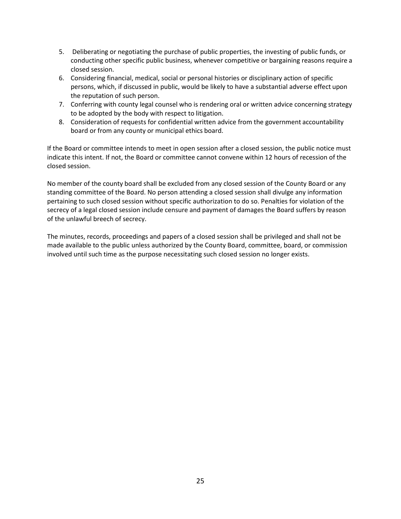- 5. Deliberating or negotiating the purchase of public properties, the investing of public funds, or conducting other specific public business, whenever competitive or bargaining reasons require a closed session.
- 6. Considering financial, medical, social or personal histories or disciplinary action of specific persons, which, if discussed in public, would be likely to have a substantial adverse effect upon the reputation of such person.
- 7. Conferring with county legal counsel who is rendering oral or written advice concerning strategy to be adopted by the body with respect to litigation.
- 8. Consideration of requests for confidential written advice from the government accountability board or from any county or municipal ethics board.

If the Board or committee intends to meet in open session after a closed session, the public notice must indicate this intent. If not, the Board or committee cannot convene within 12 hours of recession of the closed session.

No member of the county board shall be excluded from any closed session of the County Board or any standing committee of the Board. No person attending a closed session shall divulge any information pertaining to such closed session without specific authorization to do so. Penalties for violation of the secrecy of a legal closed session include censure and payment of damages the Board suffers by reason of the unlawful breech of secrecy.

The minutes, records, proceedings and papers of a closed session shall be privileged and shall not be made available to the public unless authorized by the County Board, committee, board, or commission involved until such time as the purpose necessitating such closed session no longer exists.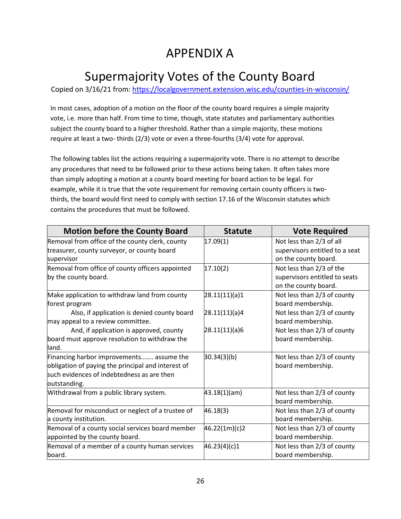## APPENDIX A

# Supermajority Votes of the County Board

Copied on 3/16/21 from:<https://localgovernment.extension.wisc.edu/counties-in-wisconsin/>

In most cases, adoption of a motion on the floor of the county board requires a simple majority vote, i.e. more than half. From time to time, though, state statutes and parliamentary authorities subject the county board to a higher threshold. Rather than a simple majority, these motions require at least a two- thirds (2/3) vote or even a three-fourths (3/4) vote for approval.

The following tables list the actions requiring a supermajority vote. There is no attempt to describe any procedures that need to be followed prior to these actions being taken. It often takes more than simply adopting a motion at a county board meeting for board action to be legal. For example, while it is true that the vote requirement for removing certain county officers is twothirds, the board would first need to comply with section 17.16 of the Wisconsin statutes which contains the procedures that must be followed.

| <b>Motion before the County Board</b>              | <b>Statute</b>  | <b>Vote Required</b>           |
|----------------------------------------------------|-----------------|--------------------------------|
| Removal from office of the county clerk, county    | 17.09(1)        | Not less than 2/3 of all       |
| treasurer, county surveyor, or county board        |                 | supervisors entitled to a seat |
| supervisor                                         |                 | on the county board.           |
| Removal from office of county officers appointed   | 17.10(2)        | Not less than 2/3 of the       |
| by the county board.                               |                 | supervisors entitled to seats  |
|                                                    |                 | on the county board.           |
| Make application to withdraw land from county      | [28.11(11)(a)1] | Not less than 2/3 of county    |
| forest program                                     |                 | board membership.              |
| Also, if application is denied county board        | 28.11(11)(a)4   | Not less than 2/3 of county    |
| may appeal to a review committee.                  |                 | board membership.              |
| And, if application is approved, county            | 28.11(11)(a)6   | Not less than 2/3 of county    |
| board must approve resolution to withdraw the      |                 | board membership.              |
| lland.                                             |                 |                                |
| Financing harbor improvements assume the           | 30.34(3)(b)     | Not less than 2/3 of county    |
| obligation of paying the principal and interest of |                 | board membership.              |
| such evidences of indebtedness as are then         |                 |                                |
| outstanding.                                       |                 |                                |
| Withdrawal from a public library system.           | 43.18(1)(am)    | Not less than 2/3 of county    |
|                                                    |                 | board membership.              |
| Removal for misconduct or neglect of a trustee of  | 46.18(3)        | Not less than 2/3 of county    |
| a county institution.                              |                 | board membership.              |
| Removal of a county social services board member   | 46.22(1m)(c)2   | Not less than 2/3 of county    |
| appointed by the county board.                     |                 | board membership.              |
| Removal of a member of a county human services     | 46.23(4)(c)1    | Not less than 2/3 of county    |
| board.                                             |                 | board membership.              |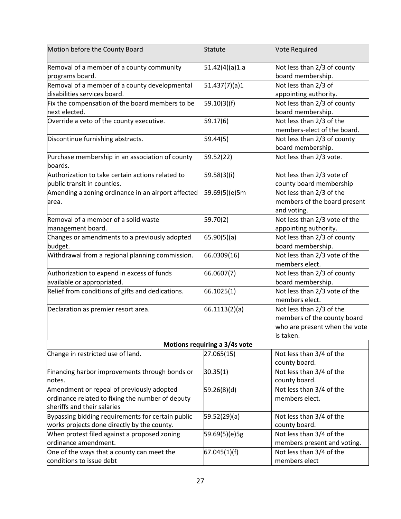| Motion before the County Board                                                                                               | Statute        | Vote Required                                                                                         |  |
|------------------------------------------------------------------------------------------------------------------------------|----------------|-------------------------------------------------------------------------------------------------------|--|
| Removal of a member of a county community<br>programs board.                                                                 | 51.42(4)(a)1.a | Not less than 2/3 of county<br>board membership.                                                      |  |
| Removal of a member of a county developmental<br>disabilities services board.                                                | 51.437(7)(a)1  | Not less than 2/3 of<br>appointing authority.                                                         |  |
| Fix the compensation of the board members to be<br>next elected.                                                             | 59.10(3)(f)    | Not less than 2/3 of county<br>board membership.                                                      |  |
| Override a veto of the county executive.                                                                                     | 59.17(6)       | Not less than 2/3 of the<br>members-elect of the board.                                               |  |
| Discontinue furnishing abstracts.                                                                                            | 59.44(5)       | Not less than 2/3 of county<br>board membership.                                                      |  |
| Purchase membership in an association of county<br>boards.                                                                   | 59.52(22)      | Not less than 2/3 vote.                                                                               |  |
| Authorization to take certain actions related to<br>public transit in counties.                                              | 59.58(3)(i)    | Not less than 2/3 vote of<br>county board membership                                                  |  |
| Amending a zoning ordinance in an airport affected<br>area.                                                                  | 59.69(5)(e)5m  | Not less than 2/3 of the<br>members of the board present<br>and voting.                               |  |
| Removal of a member of a solid waste<br>management board.                                                                    | 59.70(2)       | Not less than 2/3 vote of the<br>appointing authority.                                                |  |
| Changes or amendments to a previously adopted<br>budget.                                                                     | 65.90(5)(a)    | Not less than 2/3 of county<br>board membership.                                                      |  |
| Withdrawal from a regional planning commission.                                                                              | 66.0309(16)    | Not less than 2/3 vote of the<br>members elect.                                                       |  |
| Authorization to expend in excess of funds<br>available or appropriated.                                                     | 66.0607(7)     | Not less than 2/3 of county<br>board membership.                                                      |  |
| Relief from conditions of gifts and dedications.                                                                             | 66.1025(1)     | Not less than 2/3 vote of the<br>members elect.                                                       |  |
| Declaration as premier resort area.                                                                                          | 66.1113(2)(a)  | Not less than 2/3 of the<br>members of the county board<br>who are present when the vote<br>is taken. |  |
| Motions requiring a 3/4s vote                                                                                                |                |                                                                                                       |  |
| Change in restricted use of land.                                                                                            | 27.065(15)     | Not less than 3/4 of the<br>county board.                                                             |  |
| Financing harbor improvements through bonds or<br>notes.                                                                     | 30.35(1)       | Not less than 3/4 of the<br>county board.                                                             |  |
| Amendment or repeal of previously adopted<br>ordinance related to fixing the number of deputy<br>sheriffs and their salaries | 59.26(8)(d)    | Not less than 3/4 of the<br>members elect.                                                            |  |
| Bypassing bidding requirements for certain public<br>works projects done directly by the county.                             | 59.52(29)(a)   | Not less than 3/4 of the<br>county board.                                                             |  |
| When protest filed against a proposed zoning<br>ordinance amendment.                                                         | 59.69(5)(e)5g  | Not less than 3/4 of the<br>members present and voting.                                               |  |
| One of the ways that a county can meet the<br>conditions to issue debt                                                       | 67.045(1)(f)   | Not less than 3/4 of the<br>members elect                                                             |  |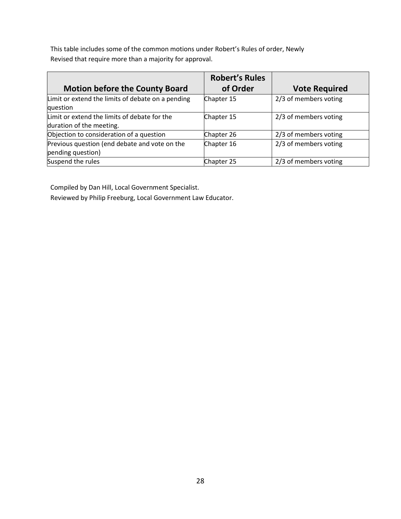This table includes some of the common motions under Robert's Rules of order, Newly Revised that require more than a majority for approval.

| <b>Motion before the County Board</b>                                    | <b>Robert's Rules</b><br>of Order | <b>Vote Required</b>  |
|--------------------------------------------------------------------------|-----------------------------------|-----------------------|
| Limit or extend the limits of debate on a pending<br>question            | Chapter 15                        | 2/3 of members voting |
| Limit or extend the limits of debate for the<br>duration of the meeting. | Chapter 15                        | 2/3 of members voting |
| Objection to consideration of a question                                 | Chapter 26                        | 2/3 of members voting |
| Previous question (end debate and vote on the<br>pending question)       | Chapter 16                        | 2/3 of members voting |
| Suspend the rules                                                        | Chapter 25                        | 2/3 of members voting |

Compiled by Dan Hill, Local Government Specialist.

Reviewed by Philip Freeburg, Local Government Law Educator.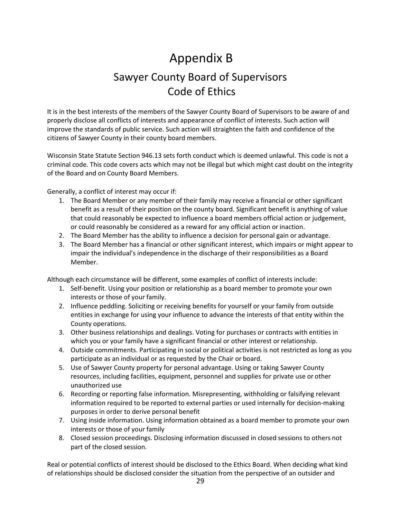# Appendix B Sawyer County Board of Supervisors Code of Ethics

It is in the best interests of the members of the Sawyer County Board of Supervisors to be aware of and properly disclose all conflicts of interests and appearance of conflict of interests. Such action will improve the standards of public service. Such action will straighten the faith and confidence of the citizens of Sawyer County in their county board members.

Wisconsin State Statute Section 946.13 sets forth conduct which is deemed unlawful. This code is not a criminal code. This code covers acts which may not be illegal but which might cast doubt on the integrity of the Board and on County Board Members.

Generally, a conflict of interest may occur if:

- 1. The Board Member or any member of their family may receive a financial or other significant benefit as a result of their position on the county board. Significant benefit is anything of value that could reasonably be expected to influence a board members official action or judgement, or could reasonably be considered as a reward for any official action or inaction.
- 2. The Board Member has the ability to influence a decision for personal gain or advantage.
- 3. The Board Member has a financial or other significant interest, which impairs or might appear to impair the individual's independence in the discharge of their responsibilities as a Board Member.

Although each circumstance will be different, some examples of conflict of interests include:

- 1. Self-benefit. Using your position or relationship as a board member to promote your own interests or those of your family.
- 2. Influence peddling. Soliciting or receiving benefits for yourself or your family from outside entities in exchange for using your influence to advance the interests of that entity within the County operations.
- 3. Other business relationships and dealings. Voting for purchases or contracts with entities in which you or your family have a significant financial or other interest or relationship.
- 4. Outside commitments. Participating in social or political activities is not restricted as long as you participate as an individual or as requested by the Chair or board.
- 5. Use of Sawyer County property for personal advantage. Using or taking Sawyer County resources, including facilities, equipment, personnel and supplies for private use or other unauthorized use
- 6. Recording or reporting false information. Misrepresenting, withholding or falsifying relevant information required to be reported to external parties or used internally for decision-making purposes in order to derive personal benefit
- 7. Using inside information. Using information obtained as a board member to promote your own interests or those of your family
- 8. Closed session proceedings. Disclosing information discussed in closed sessions to others not part of the closed session.

Real or potential conflicts of interest should be disclosed to the Ethics Board. When deciding what kind of relationships should be disclosed consider the situation from the perspective of an outsider and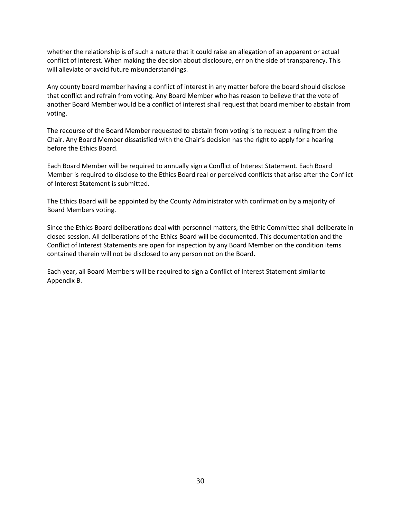whether the relationship is of such a nature that it could raise an allegation of an apparent or actual conflict of interest. When making the decision about disclosure, err on the side of transparency. This will alleviate or avoid future misunderstandings.

Any county board member having a conflict of interest in any matter before the board should disclose that conflict and refrain from voting. Any Board Member who has reason to believe that the vote of another Board Member would be a conflict of interest shall request that board member to abstain from voting.

The recourse of the Board Member requested to abstain from voting is to request a ruling from the Chair. Any Board Member dissatisfied with the Chair's decision has the right to apply for a hearing before the Ethics Board.

Each Board Member will be required to annually sign a Conflict of Interest Statement. Each Board Member is required to disclose to the Ethics Board real or perceived conflicts that arise after the Conflict of Interest Statement is submitted.

The Ethics Board will be appointed by the County Administrator with confirmation by a majority of Board Members voting.

Since the Ethics Board deliberations deal with personnel matters, the Ethic Committee shall deliberate in closed session. All deliberations of the Ethics Board will be documented. This documentation and the Conflict of Interest Statements are open for inspection by any Board Member on the condition items contained therein will not be disclosed to any person not on the Board.

Each year, all Board Members will be required to sign a Conflict of Interest Statement similar to Appendix B.